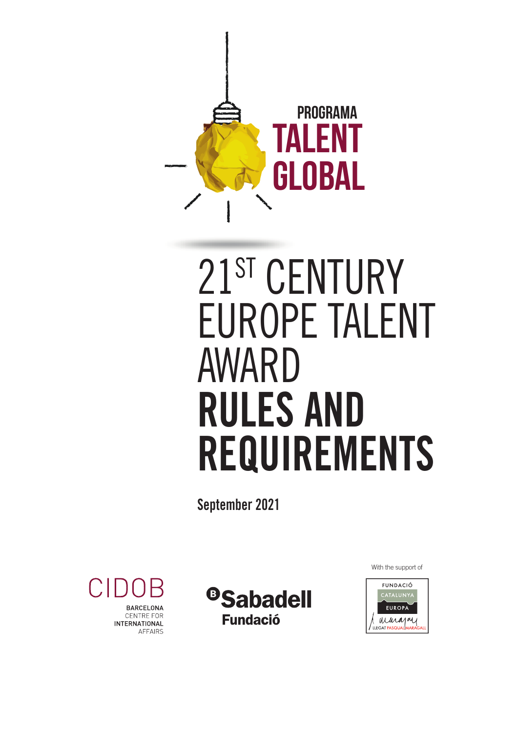

# 21ST CENTURY EUROPE TALENT AWARD RULES AND REQUIREMENTS

September 2021

With the support of





<sup>®</sup>Sabadell **Fundació**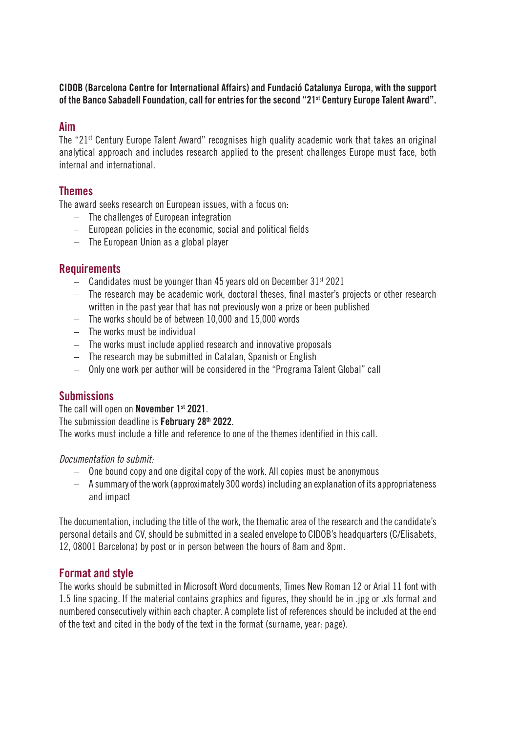## CIDOB (Barcelona Centre for International Affairs) and Fundació Catalunya Europa, with the support of the Banco Sabadell Foundation, call for entries for the second "21st Century Europe Talent Award".

## Aim

The "21st Century Europe Talent Award" recognises high quality academic work that takes an original analytical approach and includes research applied to the present challenges Europe must face, both internal and international.

# Themes

The award seeks research on European issues, with a focus on:

- The challenges of European integration
- European policies in the economic, social and political fields
- The European Union as a global player

## Requirements

- $-$  Candidates must be younger than 45 years old on December 31st 2021
- The research may be academic work, doctoral theses, final master's projects or other research written in the past year that has not previously won a prize or been published
- The works should be of between 10,000 and 15,000 words
- The works must be individual
- The works must include applied research and innovative proposals
- The research may be submitted in Catalan, Spanish or English
- Only one work per author will be considered in the "Programa Talent Global" call

# **Submissions**

The call will open on November 1<sup>st</sup> 2021.

The submission deadline is February 28<sup>th</sup> 2022.

The works must include a title and reference to one of the themes identified in this call.

*Documentation to submit:*

- One bound copy and one digital copy of the work. All copies must be anonymous
- A summary of the work (approximately 300 words) including an explanation of its appropriateness and impact

The documentation, including the title of the work, the thematic area of the research and the candidate's personal details and CV, should be submitted in a sealed envelope to CIDOB's headquarters (C/Elisabets, 12, 08001 Barcelona) by post or in person between the hours of 8am and 8pm.

# Format and style

The works should be submitted in Microsoft Word documents, Times New Roman 12 or Arial 11 font with 1.5 line spacing. If the material contains graphics and figures, they should be in .jpg or .xls format and numbered consecutively within each chapter. A complete list of references should be included at the end of the text and cited in the body of the text in the format (surname, year: page).